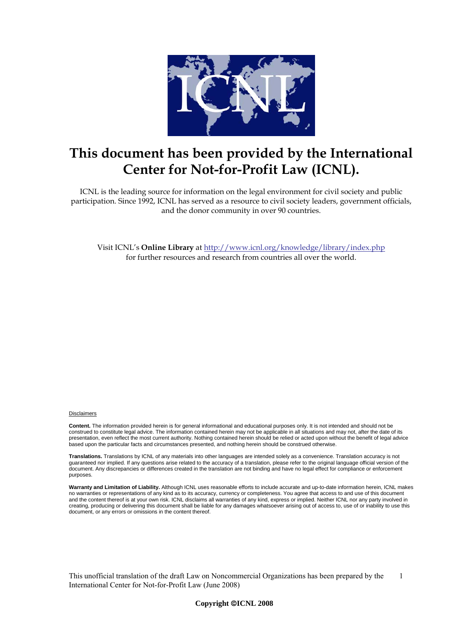

# **This document has been provided by the International Center for Not-for-Profit Law (ICNL).**

ICNL is the leading source for information on the legal environment for civil society and public participation. Since 1992, ICNL has served as a resource to civil society leaders, government officials, and the donor community in over 90 countries.

Visit ICNL's **Online Library** at<http://www.icnl.org/knowledge/library/index.php> for further resources and research from countries all over the world.

#### Disclaimers

**Content.** The information provided herein is for general informational and educational purposes only. It is not intended and should not be construed to constitute legal advice. The information contained herein may not be applicable in all situations and may not, after the date of its presentation, even reflect the most current authority. Nothing contained herein should be relied or acted upon without the benefit of legal advice based upon the particular facts and circumstances presented, and nothing herein should be construed otherwise.

**Translations.** Translations by ICNL of any materials into other languages are intended solely as a convenience. Translation accuracy is not guaranteed nor implied. If any questions arise related to the accuracy of a translation, please refer to the original language official version of the document. Any discrepancies or differences created in the translation are not binding and have no legal effect for compliance or enforcement purposes.

**Warranty and Limitation of Liability.** Although ICNL uses reasonable efforts to include accurate and up-to-date information herein, ICNL makes no warranties or representations of any kind as to its accuracy, currency or completeness. You agree that access to and use of this document and the content thereof is at your own risk. ICNL disclaims all warranties of any kind, express or implied. Neither ICNL nor any party involved in creating, producing or delivering this document shall be liable for any damages whatsoever arising out of access to, use of or inability to use this document, or any errors or omissions in the content thereof.

This unofficial translation of the draft Law on Noncommercial Organizations has been prepared by the International Center for Not-for-Profit Law (June 2008) 1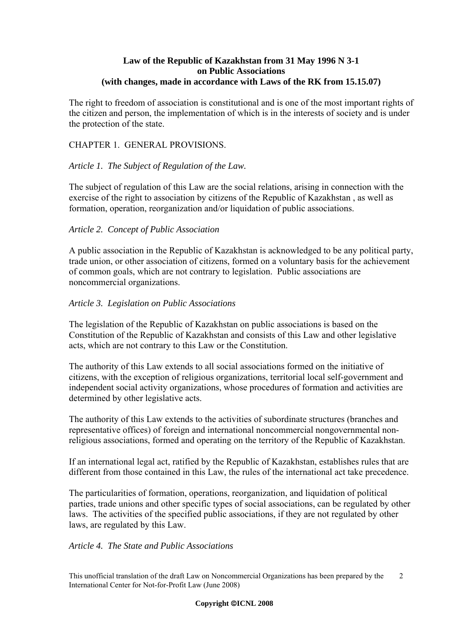# **Law of the Republic of Kazakhstan from 31 May 1996 N 3-1 on Public Associations (with changes, made in accordance with Laws of the RK from 15.15.07)**

The right to freedom of association is constitutional and is one of the most important rights of the citizen and person, the implementation of which is in the interests of society and is under the protection of the state.

# CHAPTER 1. GENERAL PROVISIONS.

## *Article 1. The Subject of Regulation of the Law.*

The subject of regulation of this Law are the social relations, arising in connection with the exercise of the right to association by citizens of the Republic of Kazakhstan , as well as formation, operation, reorganization and/or liquidation of public associations.

## *Article 2. Concept of Public Association*

A public association in the Republic of Kazakhstan is acknowledged to be any political party, trade union, or other association of citizens, formed on a voluntary basis for the achievement of common goals, which are not contrary to legislation. Public associations are noncommercial organizations.

## *Article 3. Legislation on Public Associations*

The legislation of the Republic of Kazakhstan on public associations is based on the Constitution of the Republic of Kazakhstan and consists of this Law and other legislative acts, which are not contrary to this Law or the Constitution.

The authority of this Law extends to all social associations formed on the initiative of citizens, with the exception of religious organizations, territorial local self-government and independent social activity organizations, whose procedures of formation and activities are determined by other legislative acts.

The authority of this Law extends to the activities of subordinate structures (branches and representative offices) of foreign and international noncommercial nongovernmental nonreligious associations, formed and operating on the territory of the Republic of Kazakhstan.

If an international legal act, ratified by the Republic of Kazakhstan, establishes rules that are different from those contained in this Law, the rules of the international act take precedence.

The particularities of formation, operations, reorganization, and liquidation of political parties, trade unions and other specific types of social associations, can be regulated by other laws. The activities of the specified public associations, if they are not regulated by other laws, are regulated by this Law.

## *Article 4. The State and Public Associations*

This unofficial translation of the draft Law on Noncommercial Organizations has been prepared by the 2 International Center for Not-for-Profit Law (June 2008)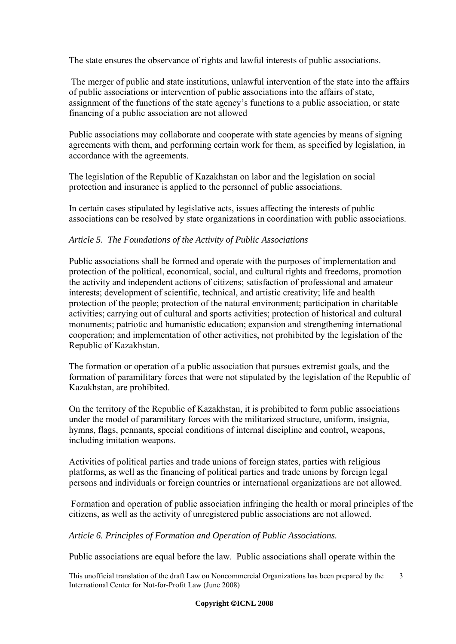The state ensures the observance of rights and lawful interests of public associations.

 The merger of public and state institutions, unlawful intervention of the state into the affairs of public associations or intervention of public associations into the affairs of state, assignment of the functions of the state agency's functions to a public association, or state financing of a public association are not allowed

Public associations may collaborate and cooperate with state agencies by means of signing agreements with them, and performing certain work for them, as specified by legislation, in accordance with the agreements.

The legislation of the Republic of Kazakhstan on labor and the legislation on social protection and insurance is applied to the personnel of public associations.

In certain cases stipulated by legislative acts, issues affecting the interests of public associations can be resolved by state organizations in coordination with public associations.

# *Article 5. The Foundations of the Activity of Public Associations*

Public associations shall be formed and operate with the purposes of implementation and protection of the political, economical, social, and cultural rights and freedoms, promotion the activity and independent actions of citizens; satisfaction of professional and amateur interests; development of scientific, technical, and artistic creativity; life and health protection of the people; protection of the natural environment; participation in charitable activities; carrying out of cultural and sports activities; protection of historical and cultural monuments; patriotic and humanistic education; expansion and strengthening international cooperation; and implementation of other activities, not prohibited by the legislation of the Republic of Kazakhstan.

The formation or operation of a public association that pursues extremist goals, and the formation of paramilitary forces that were not stipulated by the legislation of the Republic of Kazakhstan, are prohibited.

On the territory of the Republic of Kazakhstan, it is prohibited to form public associations under the model of paramilitary forces with the militarized structure, uniform, insignia, hymns, flags, pennants, special conditions of internal discipline and control, weapons, including imitation weapons.

Activities of political parties and trade unions of foreign states, parties with religious platforms, as well as the financing of political parties and trade unions by foreign legal persons and individuals or foreign countries or international organizations are not allowed.

 Formation and operation of public association infringing the health or moral principles of the citizens, as well as the activity of unregistered public associations are not allowed.

*Article 6. Principles of Formation and Operation of Public Associations.* 

Public associations are equal before the law. Public associations shall operate within the

This unofficial translation of the draft Law on Noncommercial Organizations has been prepared by the International Center for Not-for-Profit Law (June 2008) 3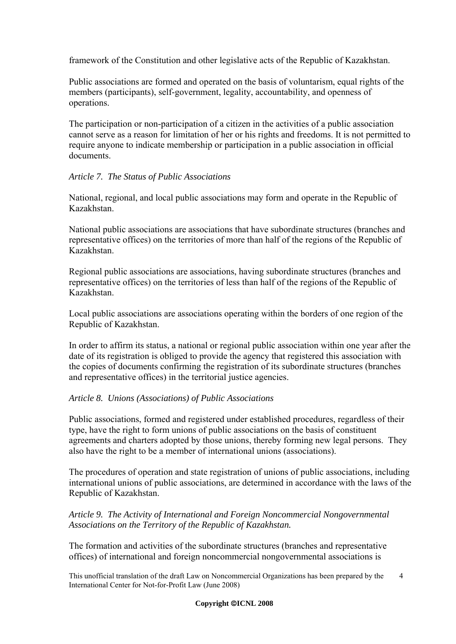framework of the Constitution and other legislative acts of the Republic of Kazakhstan.

Public associations are formed and operated on the basis of voluntarism, equal rights of the members (participants), self-government, legality, accountability, and openness of operations.

The participation or non-participation of a citizen in the activities of a public association cannot serve as a reason for limitation of her or his rights and freedoms. It is not permitted to require anyone to indicate membership or participation in a public association in official documents.

# *Article 7. The Status of Public Associations*

National, regional, and local public associations may form and operate in the Republic of Kazakhstan.

National public associations are associations that have subordinate structures (branches and representative offices) on the territories of more than half of the regions of the Republic of Kazakhstan.

Regional public associations are associations, having subordinate structures (branches and representative offices) on the territories of less than half of the regions of the Republic of Kazakhstan.

Local public associations are associations operating within the borders of one region of the Republic of Kazakhstan.

In order to affirm its status, a national or regional public association within one year after the date of its registration is obliged to provide the agency that registered this association with the copies of documents confirming the registration of its subordinate structures (branches and representative offices) in the territorial justice agencies.

# *Article 8. Unions (Associations) of Public Associations*

Public associations, formed and registered under established procedures, regardless of their type, have the right to form unions of public associations on the basis of constituent agreements and charters adopted by those unions, thereby forming new legal persons. They also have the right to be a member of international unions (associations).

The procedures of operation and state registration of unions of public associations, including international unions of public associations, are determined in accordance with the laws of the Republic of Kazakhstan.

# *Article 9. The Activity of International and Foreign Noncommercial Nongovernmental Associations on the Territory of the Republic of Kazakhstan.*

The formation and activities of the subordinate structures (branches and representative offices) of international and foreign noncommercial nongovernmental associations is

This unofficial translation of the draft Law on Noncommercial Organizations has been prepared by the 4 International Center for Not-for-Profit Law (June 2008)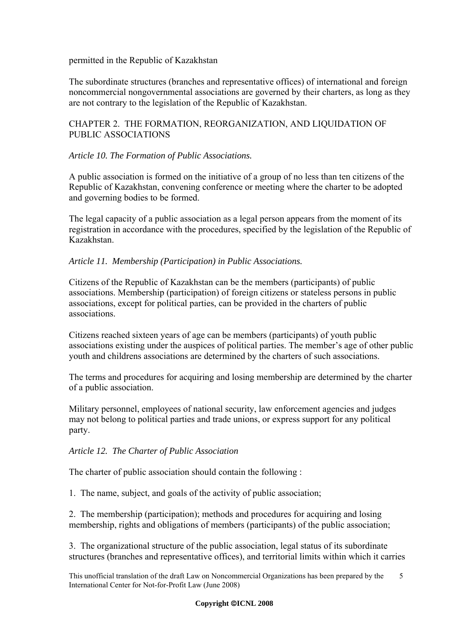## permitted in the Republic of Kazakhstan

The subordinate structures (branches and representative offices) of international and foreign noncommercial nongovernmental associations are governed by their charters, as long as they are not contrary to the legislation of the Republic of Kazakhstan.

# CHAPTER 2. THE FORMATION, REORGANIZATION, AND LIQUIDATION OF PUBLIC ASSOCIATIONS

# *Article 10. The Formation of Public Associations.*

A public association is formed on the initiative of a group of no less than ten citizens of the Republic of Kazakhstan, convening conference or meeting where the charter to be adopted and governing bodies to be formed.

The legal capacity of a public association as a legal person appears from the moment of its registration in accordance with the procedures, specified by the legislation of the Republic of Kazakhstan.

## *Article 11. Membership (Participation) in Public Associations.*

Citizens of the Republic of Kazakhstan can be the members (participants) of public associations. Membership (participation) of foreign citizens or stateless persons in public associations, except for political parties, can be provided in the charters of public associations.

Citizens reached sixteen years of age can be members (participants) of youth public associations existing under the auspices of political parties. The member's age of other public youth and childrens associations are determined by the charters of such associations.

The terms and procedures for acquiring and losing membership are determined by the charter of a public association.

Military personnel, employees of national security, law enforcement agencies and judges may not belong to political parties and trade unions, or express support for any political party.

## *Article 12. The Charter of Public Association*

The charter of public association should contain the following :

1. The name, subject, and goals of the activity of public association;

2. The membership (participation); methods and procedures for acquiring and losing membership, rights and obligations of members (participants) of the public association;

3. The organizational structure of the public association, legal status of its subordinate structures (branches and representative offices), and territorial limits within which it carries

This unofficial translation of the draft Law on Noncommercial Organizations has been prepared by the 5 International Center for Not-for-Profit Law (June 2008)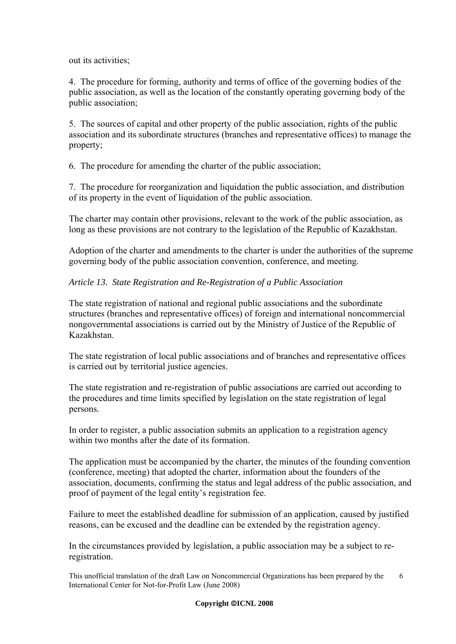out its activities;

4. The procedure for forming, authority and terms of office of the governing bodies of the public association, as well as the location of the constantly operating governing body of the public association;

5. The sources of capital and other property of the public association, rights of the public association and its subordinate structures (branches and representative offices) to manage the property;

6. The procedure for amending the charter of the public association;

7. The procedure for reorganization and liquidation the public association, and distribution of its property in the event of liquidation of the public association.

The charter may contain other provisions, relevant to the work of the public association, as long as these provisions are not contrary to the legislation of the Republic of Kazakhstan.

Adoption of the charter and amendments to the charter is under the authorities of the supreme governing body of the public association convention, conference, and meeting.

# *Article 13. State Registration and Re-Registration of a Public Association*

The state registration of national and regional public associations and the subordinate structures (branches and representative offices) of foreign and international noncommercial nongovernmental associations is carried out by the Ministry of Justice of the Republic of Kazakhstan.

The state registration of local public associations and of branches and representative offices is carried out by territorial justice agencies.

The state registration and re-registration of public associations are carried out according to the procedures and time limits specified by legislation on the state registration of legal persons.

In order to register, a public association submits an application to a registration agency within two months after the date of its formation.

The application must be accompanied by the charter, the minutes of the founding convention (conference, meeting) that adopted the charter, information about the founders of the association, documents, confirming the status and legal address of the public association, and proof of payment of the legal entity's registration fee.

Failure to meet the established deadline for submission of an application, caused by justified reasons, can be excused and the deadline can be extended by the registration agency.

In the circumstances provided by legislation, a public association may be a subject to reregistration.

This unofficial translation of the draft Law on Noncommercial Organizations has been prepared by the 6 International Center for Not-for-Profit Law (June 2008)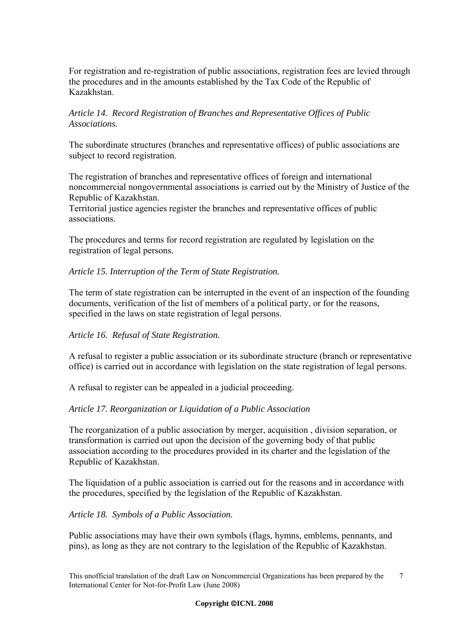For registration and re-registration of public associations, registration fees are levied through the procedures and in the amounts established by the Tax Code of the Republic of Kazakhstan.

# *Article 14. Record Registration of Branches and Representative Offices of Public Associations.*

The subordinate structures (branches and representative offices) of public associations are subject to record registration.

The registration of branches and representative offices of foreign and international noncommercial nongovernmental associations is carried out by the Ministry of Justice of the Republic of Kazakhstan.

Territorial justice agencies register the branches and representative offices of public associations.

The procedures and terms for record registration are regulated by legislation on the registration of legal persons.

*Article 15. Interruption of the Term of State Registration.* 

The term of state registration can be interrupted in the event of an inspection of the founding documents, verification of the list of members of a political party, or for the reasons, specified in the laws on state registration of legal persons.

# *Article 16. Refusal of State Registration.*

A refusal to register a public association or its subordinate structure (branch or representative office) is carried out in accordance with legislation on the state registration of legal persons.

A refusal to register can be appealed in a judicial proceeding.

## *Article 17. Reorganization or Liquidation of a Public Association*

The reorganization of a public association by merger, acquisition , division separation, or transformation is carried out upon the decision of the governing body of that public association according to the procedures provided in its charter and the legislation of the Republic of Kazakhstan.

The liquidation of a public association is carried out for the reasons and in accordance with the procedures, specified by the legislation of the Republic of Kazakhstan.

*Article 18. Symbols of a Public Association.* 

Public associations may have their own symbols (flags, hymns, emblems, pennants, and pins), as long as they are not contrary to the legislation of the Republic of Kazakhstan.

This unofficial translation of the draft Law on Noncommercial Organizations has been prepared by the 7 International Center for Not-for-Profit Law (June 2008)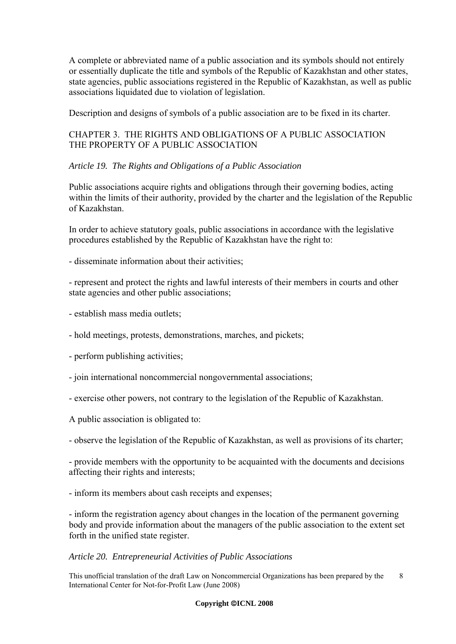A complete or abbreviated name of a public association and its symbols should not entirely or essentially duplicate the title and symbols of the Republic of Kazakhstan and other states, state agencies, public associations registered in the Republic of Kazakhstan, as well as public associations liquidated due to violation of legislation.

Description and designs of symbols of a public association are to be fixed in its charter.

# CHAPTER 3. THE RIGHTS AND OBLIGATIONS OF A PUBLIC ASSOCIATION THE PROPERTY OF A PUBLIC ASSOCIATION

# *Article 19. The Rights and Obligations of a Public Association*

Public associations acquire rights and obligations through their governing bodies, acting within the limits of their authority, provided by the charter and the legislation of the Republic of Kazakhstan.

In order to achieve statutory goals, public associations in accordance with the legislative procedures established by the Republic of Kazakhstan have the right to:

- disseminate information about their activities;

- represent and protect the rights and lawful interests of their members in courts and other state agencies and other public associations;

- establish mass media outlets;

- hold meetings, protests, demonstrations, marches, and pickets;

- perform publishing activities;

- join international noncommercial nongovernmental associations;

- exercise other powers, not contrary to the legislation of the Republic of Kazakhstan.

A public association is obligated to:

- observe the legislation of the Republic of Kazakhstan, as well as provisions of its charter;

- provide members with the opportunity to be acquainted with the documents and decisions affecting their rights and interests;

- inform its members about cash receipts and expenses;

- inform the registration agency about changes in the location of the permanent governing body and provide information about the managers of the public association to the extent set forth in the unified state register.

#### *Article 20. Entrepreneurial Activities of Public Associations*

This unofficial translation of the draft Law on Noncommercial Organizations has been prepared by the 8 International Center for Not-for-Profit Law (June 2008)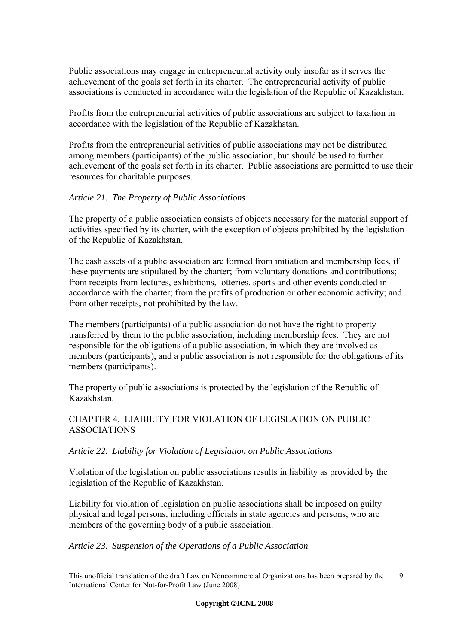Public associations may engage in entrepreneurial activity only insofar as it serves the achievement of the goals set forth in its charter. The entrepreneurial activity of public associations is conducted in accordance with the legislation of the Republic of Kazakhstan.

Profits from the entrepreneurial activities of public associations are subject to taxation in accordance with the legislation of the Republic of Kazakhstan.

Profits from the entrepreneurial activities of public associations may not be distributed among members (participants) of the public association, but should be used to further achievement of the goals set forth in its charter. Public associations are permitted to use their resources for charitable purposes.

## *Article 21. The Property of Public Associations*

The property of a public association consists of objects necessary for the material support of activities specified by its charter, with the exception of objects prohibited by the legislation of the Republic of Kazakhstan.

The cash assets of a public association are formed from initiation and membership fees, if these payments are stipulated by the charter; from voluntary donations and contributions; from receipts from lectures, exhibitions, lotteries, sports and other events conducted in accordance with the charter; from the profits of production or other economic activity; and from other receipts, not prohibited by the law.

The members (participants) of a public association do not have the right to property transferred by them to the public association, including membership fees. They are not responsible for the obligations of a public association, in which they are involved as members (participants), and a public association is not responsible for the obligations of its members (participants).

The property of public associations is protected by the legislation of the Republic of Kazakhstan.

# CHAPTER 4. LIABILITY FOR VIOLATION OF LEGISLATION ON PUBLIC ASSOCIATIONS

# *Article 22. Liability for Violation of Legislation on Public Associations*

Violation of the legislation on public associations results in liability as provided by the legislation of the Republic of Kazakhstan.

Liability for violation of legislation on public associations shall be imposed on guilty physical and legal persons, including officials in state agencies and persons, who are members of the governing body of a public association.

## *Article 23. Suspension of the Operations of a Public Association*

This unofficial translation of the draft Law on Noncommercial Organizations has been prepared by the 9 International Center for Not-for-Profit Law (June 2008)